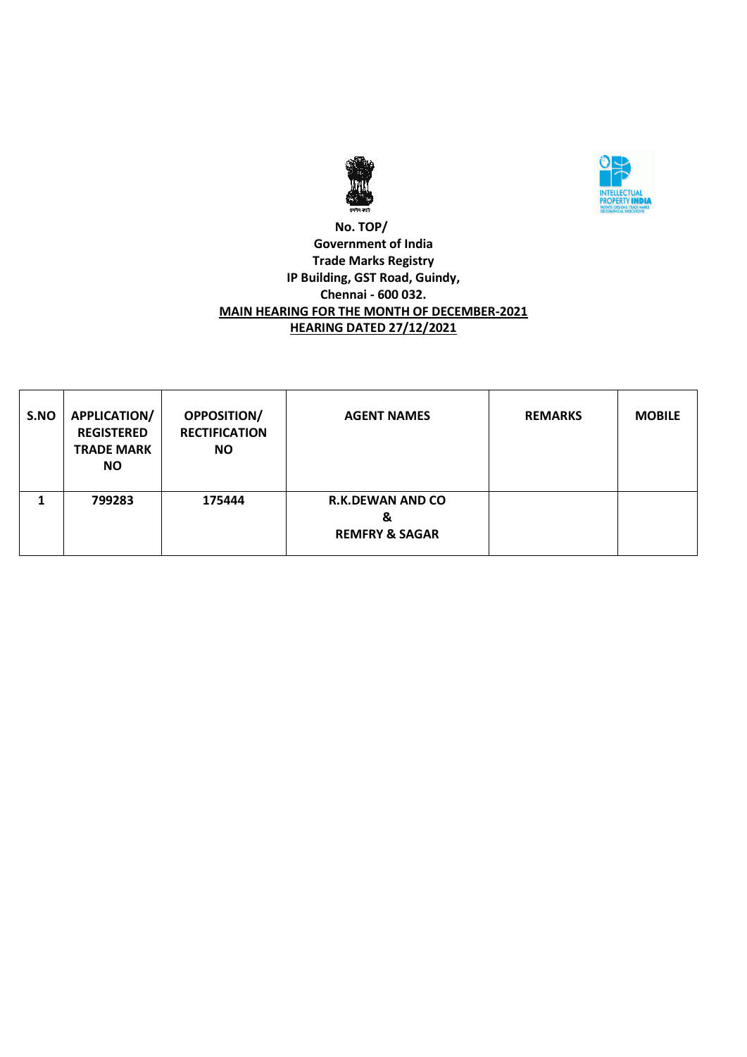



## **No. TOP/ Government of India Trade Marks Registry IP Building, GST Road, Guindy, Chennai - 600 032. MAIN HEARING FOR THE MONTH OF DECEMBER-2021 HEARING DATED 27/12/2021**

| S.NO | <b>APPLICATION/</b><br><b>REGISTERED</b><br><b>TRADE MARK</b><br><b>NO</b> | OPPOSITION/<br><b>RECTIFICATION</b><br><b>NO</b> | <b>AGENT NAMES</b>                                        | <b>REMARKS</b> | <b>MOBILE</b> |
|------|----------------------------------------------------------------------------|--------------------------------------------------|-----------------------------------------------------------|----------------|---------------|
|      | 799283                                                                     | 175444                                           | <b>R.K.DEWAN AND CO</b><br>&<br><b>REMFRY &amp; SAGAR</b> |                |               |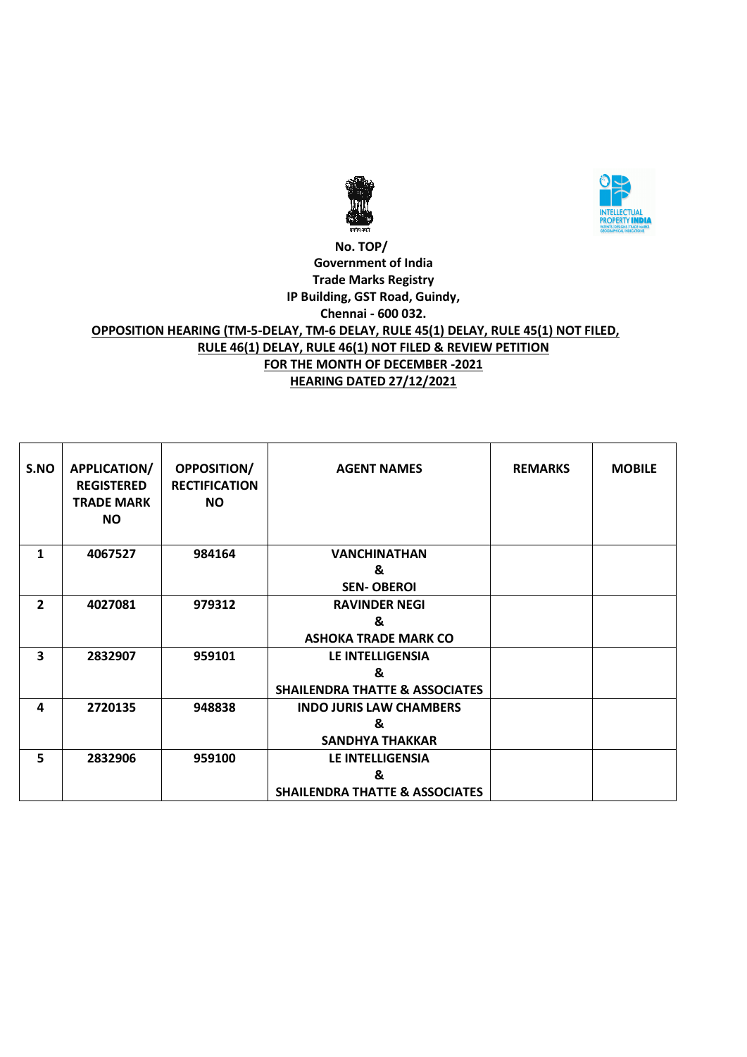



#### **No. TOP/ Government of India Trade Marks Registry IP Building, GST Road, Guindy, Chennai - 600 032. OPPOSITION HEARING (TM-5-DELAY, TM-6 DELAY, RULE 45(1) DELAY, RULE 45(1) NOT FILED, RULE 46(1) DELAY, RULE 46(1) NOT FILED & REVIEW PETITION FOR THE MONTH OF DECEMBER -2021 HEARING DATED 27/12/2021**

| S.NO           | <b>APPLICATION/</b><br><b>REGISTERED</b><br><b>TRADE MARK</b><br>NO. | <b>OPPOSITION/</b><br><b>RECTIFICATION</b><br><b>NO</b> | <b>AGENT NAMES</b>                        | <b>REMARKS</b> | <b>MOBILE</b> |
|----------------|----------------------------------------------------------------------|---------------------------------------------------------|-------------------------------------------|----------------|---------------|
| 1              | 4067527                                                              | 984164                                                  | <b>VANCHINATHAN</b>                       |                |               |
|                |                                                                      |                                                         | &                                         |                |               |
|                |                                                                      |                                                         | <b>SEN-OBEROI</b>                         |                |               |
| $\overline{2}$ | 4027081                                                              | 979312                                                  | <b>RAVINDER NEGI</b>                      |                |               |
|                |                                                                      |                                                         | &                                         |                |               |
|                |                                                                      |                                                         | <b>ASHOKA TRADE MARK CO</b>               |                |               |
| 3              | 2832907                                                              | 959101                                                  | LE INTELLIGENSIA                          |                |               |
|                |                                                                      |                                                         | &                                         |                |               |
|                |                                                                      |                                                         | <b>SHAILENDRA THATTE &amp; ASSOCIATES</b> |                |               |
| 4              | 2720135                                                              | 948838                                                  | <b>INDO JURIS LAW CHAMBERS</b>            |                |               |
|                |                                                                      |                                                         | &                                         |                |               |
|                |                                                                      |                                                         | <b>SANDHYA THAKKAR</b>                    |                |               |
| 5              | 2832906                                                              | 959100                                                  | LE INTELLIGENSIA                          |                |               |
|                |                                                                      |                                                         | &                                         |                |               |
|                |                                                                      |                                                         | <b>SHAILENDRA THATTE &amp; ASSOCIATES</b> |                |               |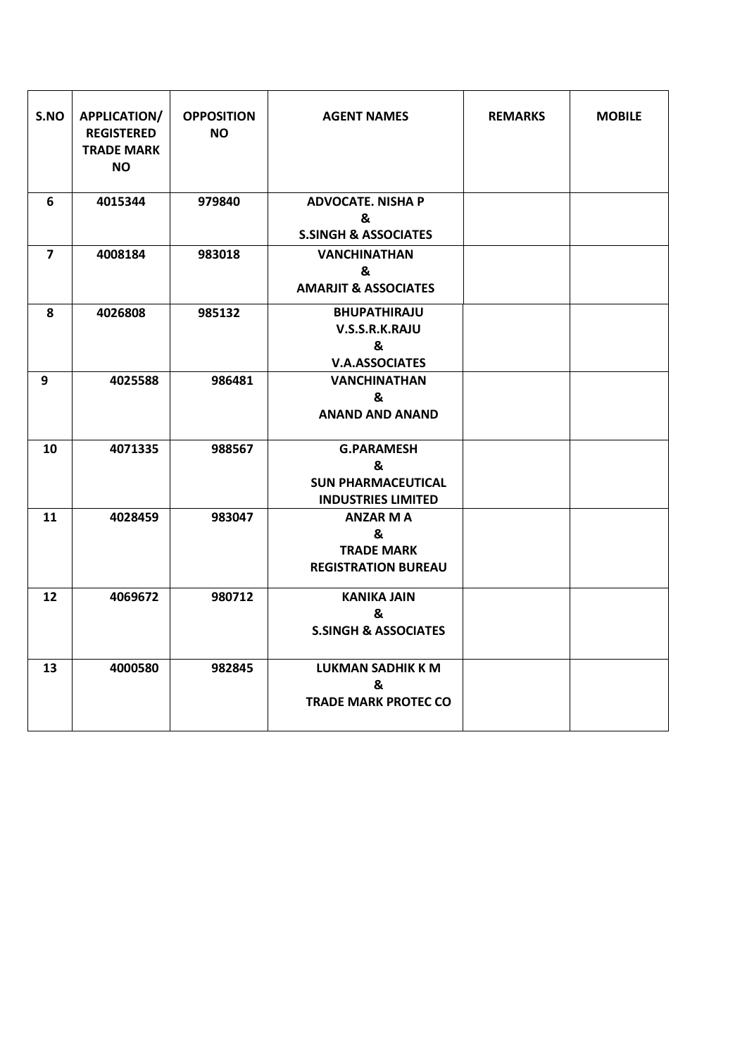| S.NO           | <b>APPLICATION/</b><br><b>REGISTERED</b><br><b>TRADE MARK</b><br><b>NO</b> | <b>OPPOSITION</b><br><b>NO</b> | <b>AGENT NAMES</b>                                                               | <b>REMARKS</b> | <b>MOBILE</b> |
|----------------|----------------------------------------------------------------------------|--------------------------------|----------------------------------------------------------------------------------|----------------|---------------|
| 6              | 4015344                                                                    | 979840                         | <b>ADVOCATE. NISHA P</b><br>&<br><b>S.SINGH &amp; ASSOCIATES</b>                 |                |               |
| $\overline{7}$ | 4008184                                                                    | 983018                         | <b>VANCHINATHAN</b><br>&<br><b>AMARJIT &amp; ASSOCIATES</b>                      |                |               |
| 8              | 4026808                                                                    | 985132                         | <b>BHUPATHIRAJU</b><br>V.S.S.R.K.RAJU<br>&<br><b>V.A.ASSOCIATES</b>              |                |               |
| 9              | 4025588                                                                    | 986481                         | <b>VANCHINATHAN</b><br>&<br><b>ANAND AND ANAND</b>                               |                |               |
| 10             | 4071335                                                                    | 988567                         | <b>G.PARAMESH</b><br>&<br><b>SUN PHARMACEUTICAL</b><br><b>INDUSTRIES LIMITED</b> |                |               |
| 11             | 4028459                                                                    | 983047                         | <b>ANZAR M A</b><br>&<br><b>TRADE MARK</b><br><b>REGISTRATION BUREAU</b>         |                |               |
| 12             | 4069672                                                                    | 980712                         | <b>KANIKA JAIN</b><br>&<br><b>S.SINGH &amp; ASSOCIATES</b>                       |                |               |
| 13             | 4000580                                                                    | 982845                         | <b>LUKMAN SADHIK K M</b><br>&<br><b>TRADE MARK PROTEC CO</b>                     |                |               |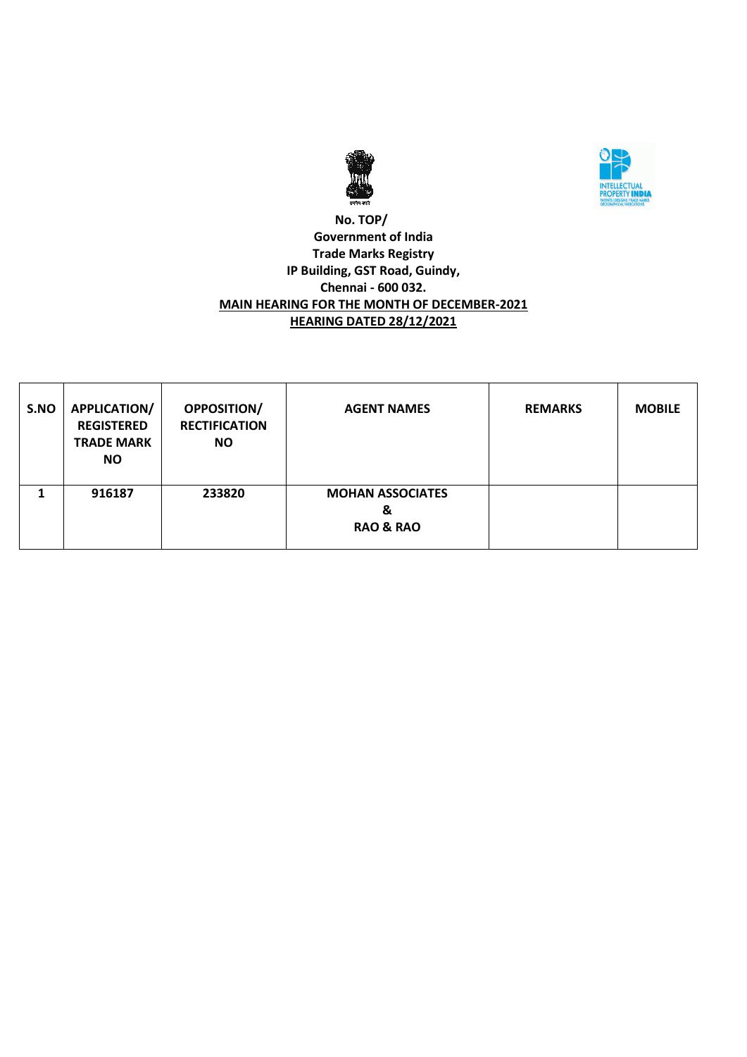



# **No. TOP/ Government of India Trade Marks Registry IP Building, GST Road, Guindy, Chennai - 600 032. MAIN HEARING FOR THE MONTH OF DECEMBER-2021 HEARING DATED 28/12/2021**

| S.NO | APPLICATION/<br><b>REGISTERED</b><br><b>TRADE MARK</b><br>NO. | <b>OPPOSITION/</b><br><b>RECTIFICATION</b><br><b>NO</b> | <b>AGENT NAMES</b>                                   | <b>REMARKS</b> | <b>MOBILE</b> |
|------|---------------------------------------------------------------|---------------------------------------------------------|------------------------------------------------------|----------------|---------------|
|      | 916187                                                        | 233820                                                  | <b>MOHAN ASSOCIATES</b><br>&<br><b>RAO &amp; RAO</b> |                |               |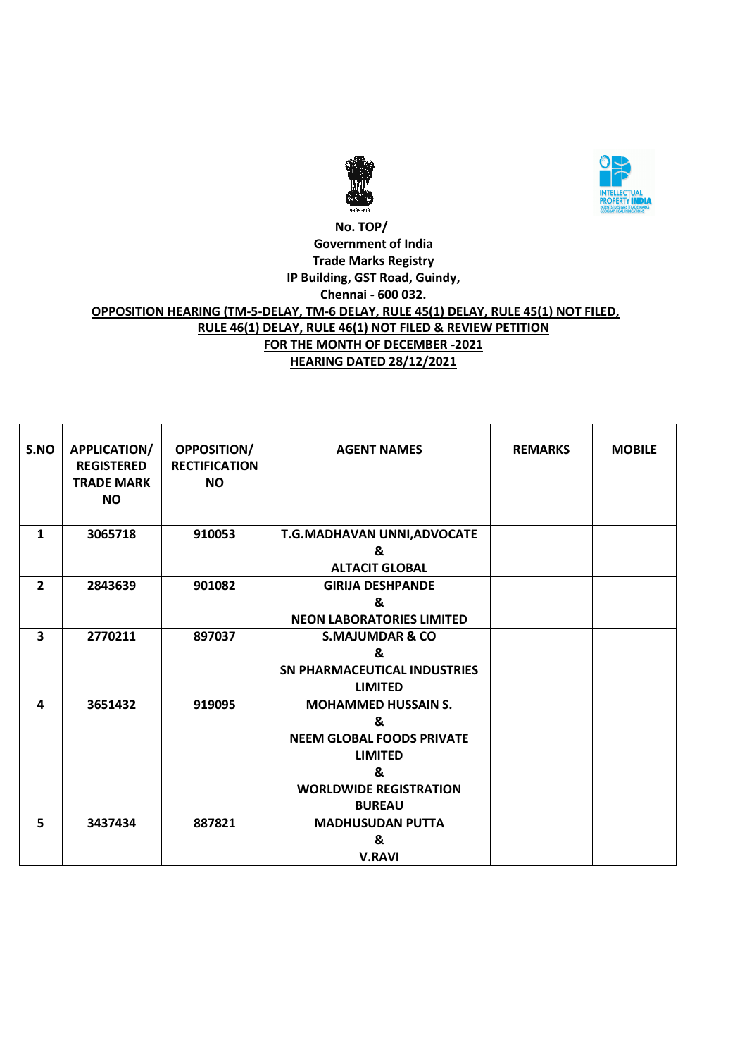



# **No. TOP/ Government of India Trade Marks Registry IP Building, GST Road, Guindy, Chennai - 600 032. OPPOSITION HEARING (TM-5-DELAY, TM-6 DELAY, RULE 45(1) DELAY, RULE 45(1) NOT FILED, RULE 46(1) DELAY, RULE 46(1) NOT FILED & REVIEW PETITION FOR THE MONTH OF DECEMBER -2021 HEARING DATED 28/12/2021**

| S.NO           | <b>APPLICATION/</b><br><b>REGISTERED</b><br><b>TRADE MARK</b><br><b>NO</b> | <b>OPPOSITION/</b><br><b>RECTIFICATION</b><br><b>NO</b> | <b>AGENT NAMES</b>                  | <b>REMARKS</b> | <b>MOBILE</b> |
|----------------|----------------------------------------------------------------------------|---------------------------------------------------------|-------------------------------------|----------------|---------------|
| $\mathbf{1}$   | 3065718                                                                    | 910053                                                  | T.G.MADHAVAN UNNI, ADVOCATE         |                |               |
|                |                                                                            |                                                         | &                                   |                |               |
|                |                                                                            |                                                         | <b>ALTACIT GLOBAL</b>               |                |               |
| $\overline{2}$ | 2843639                                                                    | 901082                                                  | <b>GIRIJA DESHPANDE</b>             |                |               |
|                |                                                                            |                                                         | &                                   |                |               |
|                |                                                                            |                                                         | <b>NEON LABORATORIES LIMITED</b>    |                |               |
| 3              | 2770211                                                                    | 897037                                                  | <b>S.MAJUMDAR &amp; CO</b>          |                |               |
|                |                                                                            |                                                         | &                                   |                |               |
|                |                                                                            |                                                         | <b>SN PHARMACEUTICAL INDUSTRIES</b> |                |               |
|                |                                                                            |                                                         | <b>LIMITED</b>                      |                |               |
| 4              | 3651432                                                                    | 919095                                                  | <b>MOHAMMED HUSSAIN S.</b>          |                |               |
|                |                                                                            |                                                         | &                                   |                |               |
|                |                                                                            |                                                         | <b>NEEM GLOBAL FOODS PRIVATE</b>    |                |               |
|                |                                                                            |                                                         | <b>LIMITED</b>                      |                |               |
|                |                                                                            |                                                         | &                                   |                |               |
|                |                                                                            |                                                         | <b>WORLDWIDE REGISTRATION</b>       |                |               |
|                |                                                                            |                                                         | <b>BUREAU</b>                       |                |               |
| 5              | 3437434                                                                    | 887821                                                  | <b>MADHUSUDAN PUTTA</b>             |                |               |
|                |                                                                            |                                                         | &                                   |                |               |
|                |                                                                            |                                                         | <b>V.RAVI</b>                       |                |               |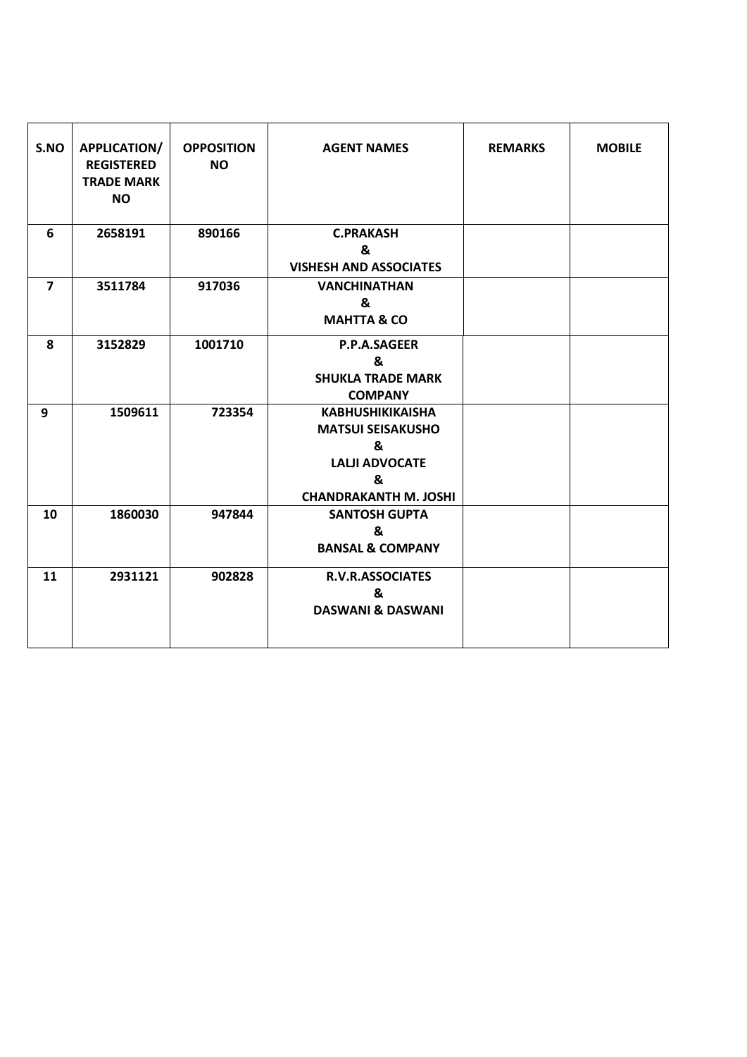| S.NO           | <b>APPLICATION/</b><br><b>REGISTERED</b><br><b>TRADE MARK</b><br><b>NO</b> | <b>OPPOSITION</b><br><b>NO</b> | <b>AGENT NAMES</b>                                                                                                     | <b>REMARKS</b> | <b>MOBILE</b> |
|----------------|----------------------------------------------------------------------------|--------------------------------|------------------------------------------------------------------------------------------------------------------------|----------------|---------------|
| 6              | 2658191                                                                    | 890166                         | <b>C.PRAKASH</b><br>&                                                                                                  |                |               |
|                |                                                                            |                                | <b>VISHESH AND ASSOCIATES</b>                                                                                          |                |               |
| $\overline{7}$ | 3511784                                                                    | 917036                         | <b>VANCHINATHAN</b><br>&<br><b>MAHTTA &amp; CO</b>                                                                     |                |               |
| 8              | 3152829                                                                    | 1001710                        | <b>P.P.A.SAGEER</b><br>&<br><b>SHUKLA TRADE MARK</b><br><b>COMPANY</b>                                                 |                |               |
| 9              | 1509611                                                                    | 723354                         | <b>KABHUSHIKIKAISHA</b><br><b>MATSUI SEISAKUSHO</b><br>&<br><b>LALJI ADVOCATE</b><br>&<br><b>CHANDRAKANTH M. JOSHI</b> |                |               |
| 10             | 1860030                                                                    | 947844                         | <b>SANTOSH GUPTA</b><br>&<br><b>BANSAL &amp; COMPANY</b>                                                               |                |               |
| 11             | 2931121                                                                    | 902828                         | <b>R.V.R.ASSOCIATES</b><br>&<br><b>DASWANI &amp; DASWANI</b>                                                           |                |               |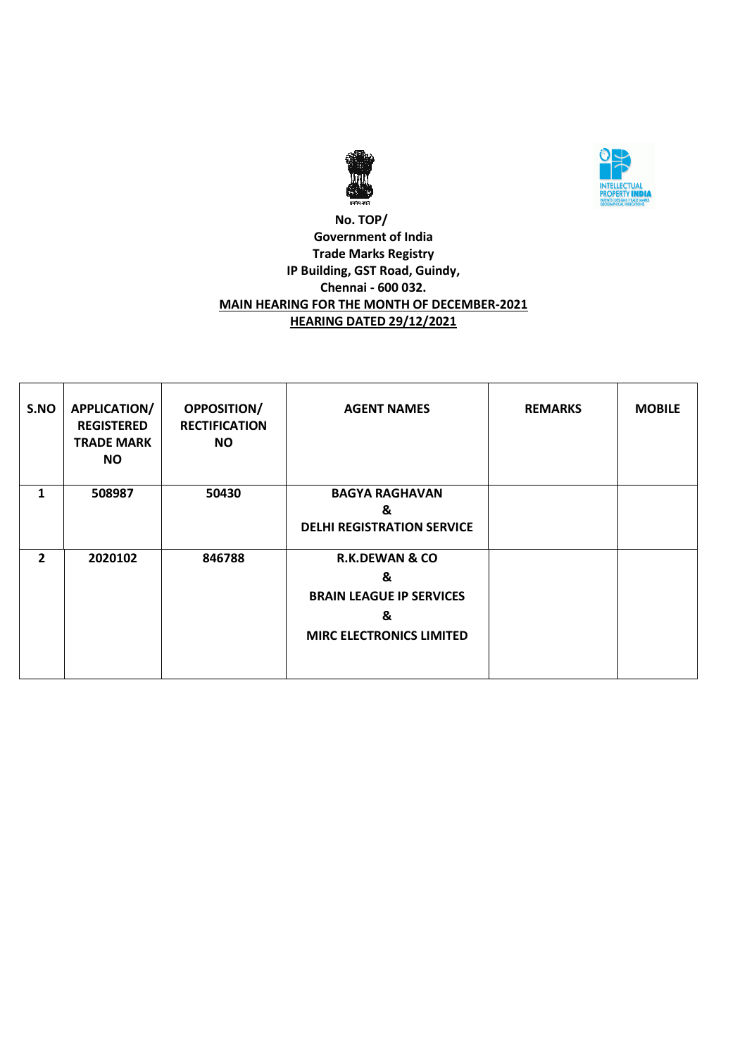



# **No. TOP/ Government of India Trade Marks Registry IP Building, GST Road, Guindy, Chennai - 600 032. MAIN HEARING FOR THE MONTH OF DECEMBER-2021 HEARING DATED 29/12/2021**

| S.NO           | <b>APPLICATION/</b><br><b>REGISTERED</b><br><b>TRADE MARK</b><br>NO. | <b>OPPOSITION/</b><br><b>RECTIFICATION</b><br><b>NO</b> | <b>AGENT NAMES</b>                                                                                        | <b>REMARKS</b> | <b>MOBILE</b> |
|----------------|----------------------------------------------------------------------|---------------------------------------------------------|-----------------------------------------------------------------------------------------------------------|----------------|---------------|
| 1              | 508987                                                               | 50430                                                   | <b>BAGYA RAGHAVAN</b><br>&<br><b>DELHI REGISTRATION SERVICE</b>                                           |                |               |
| $\overline{2}$ | 2020102                                                              | 846788                                                  | <b>R.K.DEWAN &amp; CO</b><br>&<br><b>BRAIN LEAGUE IP SERVICES</b><br>&<br><b>MIRC ELECTRONICS LIMITED</b> |                |               |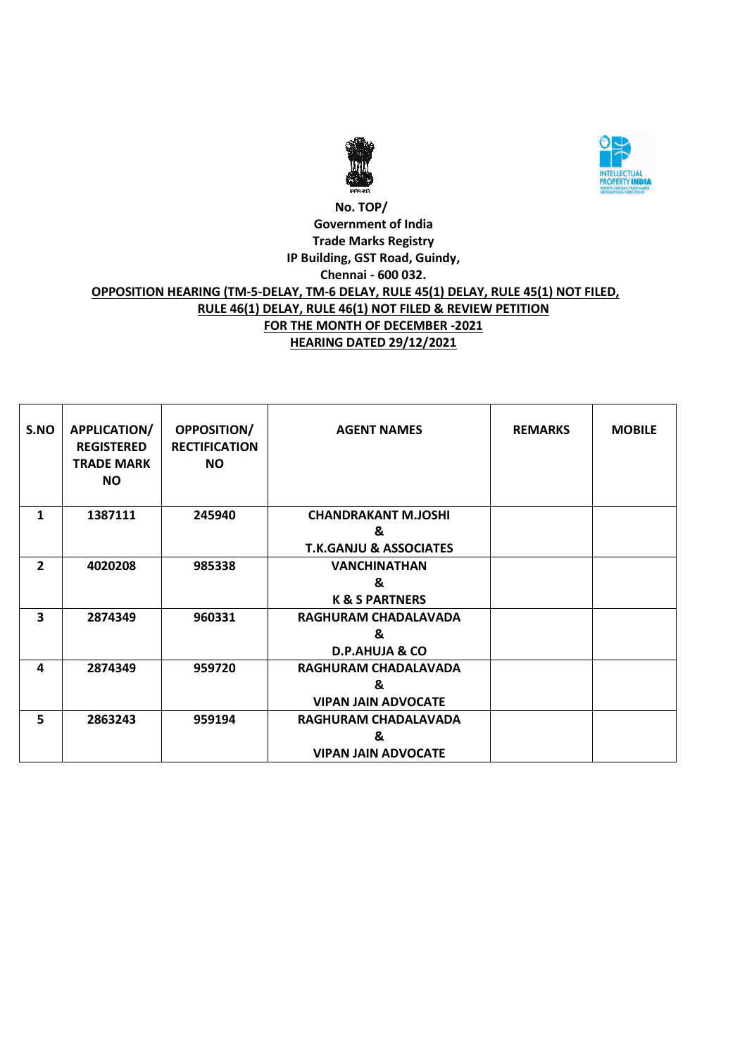



# **No. TOP/ Government of India Trade Marks Registry IP Building, GST Road, Guindy, Chennai - 600 032. OPPOSITION HEARING (TM-5-DELAY, TM-6 DELAY, RULE 45(1) DELAY, RULE 45(1) NOT FILED, RULE 46(1) DELAY, RULE 46(1) NOT FILED & REVIEW PETITION FOR THE MONTH OF DECEMBER -2021 HEARING DATED 29/12/2021**

| S.NO                    | <b>APPLICATION/</b><br><b>REGISTERED</b><br><b>TRADE MARK</b><br><b>NO</b> | OPPOSITION/<br><b>RECTIFICATION</b><br><b>NO</b> | <b>AGENT NAMES</b>                | <b>REMARKS</b> | <b>MOBILE</b> |
|-------------------------|----------------------------------------------------------------------------|--------------------------------------------------|-----------------------------------|----------------|---------------|
| 1                       | 1387111                                                                    | 245940                                           | <b>CHANDRAKANT M.JOSHI</b>        |                |               |
|                         |                                                                            |                                                  | &                                 |                |               |
|                         |                                                                            |                                                  | <b>T.K.GANJU &amp; ASSOCIATES</b> |                |               |
| $\overline{2}$          | 4020208                                                                    | 985338                                           | <b>VANCHINATHAN</b>               |                |               |
|                         |                                                                            |                                                  | &                                 |                |               |
|                         |                                                                            |                                                  | <b>K &amp; S PARTNERS</b>         |                |               |
| $\overline{\mathbf{3}}$ | 2874349                                                                    | 960331                                           | RAGHURAM CHADALAVADA              |                |               |
|                         |                                                                            |                                                  | &                                 |                |               |
|                         |                                                                            |                                                  | <b>D.P.AHUJA &amp; CO</b>         |                |               |
| 4                       | 2874349                                                                    | 959720                                           | RAGHURAM CHADALAVADA              |                |               |
|                         |                                                                            |                                                  | &                                 |                |               |
|                         |                                                                            |                                                  | <b>VIPAN JAIN ADVOCATE</b>        |                |               |
| 5                       | 2863243                                                                    | 959194                                           | RAGHURAM CHADALAVADA              |                |               |
|                         |                                                                            |                                                  | &                                 |                |               |
|                         |                                                                            |                                                  | <b>VIPAN JAIN ADVOCATE</b>        |                |               |